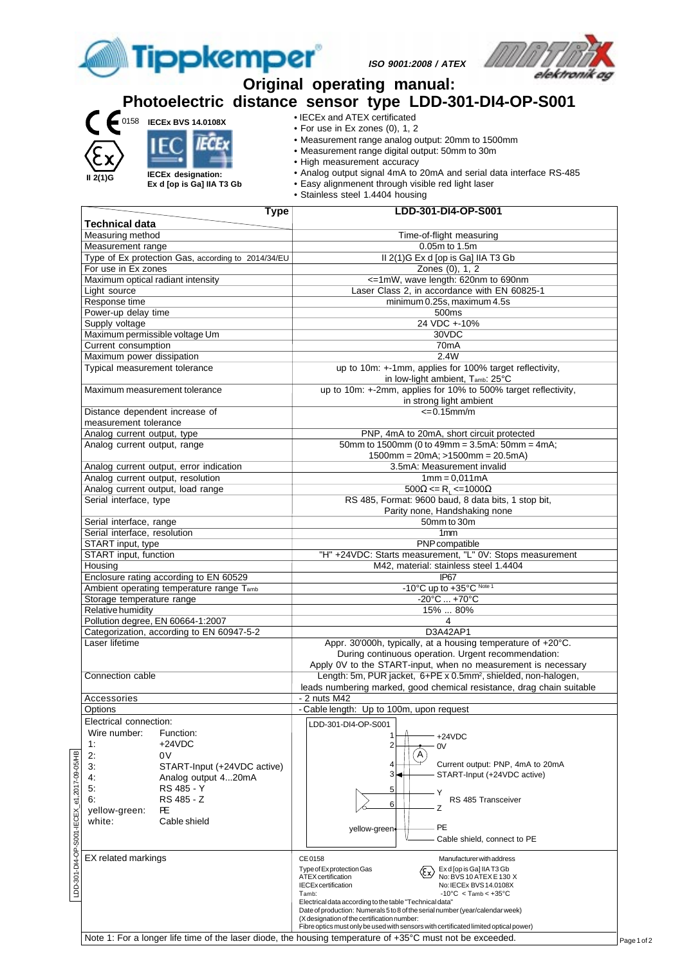

**ISO 9001:2008 / ATEX**



**Photoelectric distance sensor type LDD-301-DI4-OP-S001** • IECEx and ATEX certificated 0158 **IECEx BVS 14.0108X** • For use in Ex zones (0), 1, 2 • Measurement range analog output: 20mm to 1500mm IECE • Measurement range digital output: 50mm to 30m • High measurement accuracy • Analog output signal 4mA to 20mA and serial data interface RS-485 **IECEx designation: II 2(1)G Ex d [op is Ga] IIA T3 Gb** • Easy alignmenent through visible red light laser • Stainless steel 1.4404 housing  **Type LDD-301-DI4-OP-S001 Technical data** Measuring method **Time-of-flight measuring** method **Time-of-flight measuring** Measurement range 0.05m to 1.5m<br>
Type of Ex protection Gas, according to 2014/34/EU II 2(1)G Ex d [op is Ga] IIA T3 Gb Type of Ex protection Gas, according to  $2014/34/EU$  II 2(1)G Ex d [op is Ga] II<br>For use in Ex zones 2014/34/EU 20168 (0), 1, 2 For use in Ex zones Maximum optical radiant intensity extends the state of the state of the state of the state of the state of the state of the state of the state of the state of the state of the state of the state of the state of the state o Light source Laser Class 2, in accordance with EN 60825-1 Response time minimum 0.25s, maximum 4.5s<br>
Power-up delay time 500ms Power-up delay time Supply voltage 24 VDC +-10%<br>
Maximum permissible voltage Um<br>
24 VDC +-10% Maximum permissible voltage Um Current consumption 70mA Maximum power dissipation 2.4W Typical measurement tolerance up to 10m: +-1mm, applies for 100% target reflectivity, in low-light ambient, Tamb: 25°C Maximum measurement tolerance up to 10m: +-2mm, applies for 10% to 500% target reflectivity, in strong light ambient Distance dependent increase of  $\leq 0.15$ mm/m measurement tolerance Analog current output, type PNP, 4mA to 20mA, short circuit protected<br>Analog current output, range 50mm to 1500mm (0 to 49mm = 3.5mA: 50mm = 4.5 mA: 50mm = 4.5 mA: 50mm = 4.5 mA: 50mm = 4.5 mA: 50mm = 4.5 mA: 50mm = 4.5 mA  $50$ mm to 1500mm (0 to 49mm = 3.5mA:  $50$ mm = 4mA; 1500mm = 20mA; >1500mm = 20.5mA) Analog current output, error indication 3.5mA: Measurement invalid Analog current output, resolution 1mm = 0,011mA Analog current output, load range<br>Serial interface, type  $500\Omega \le R$ <sub>1</sub>  $\le 1000\Omega$ RS 485, Format: 9600 baud, 8 data bits, 1 stop bit, Parity none, Handshaking none Serial interface, range 50mm to 30m Serial interface, resolution 1mm<br>
START input, type PNP compatible START input, type START input, function "H" +24VDC: Starts measurement, "L" 0V: Stops measurement Housing M42, material: stainless steel 1.4404 Enclosure rating according to EN 60529 IP67 Ambient operating temperature range T<sub>amb</sub> Storage temperature range  $-20^{\circ}\text{C}...+70^{\circ}\text{C}$ Relative humidity 15% ... 80%<br>Pollution degree, EN 60664-1:2007 4 Pollution degree, EN 60664-1:2007 4 Categorization, according to EN 60947-5-2 D3A42AP1 Laser lifetime **Appr. 30'000h, typically, at a housing temperature of +20°C.** Appr. 30'000h, typically, at a housing temperature of +20°C. During continuous operation. Urgent recommendation: Apply 0V to the START-input, when no measurement is necessary Connection cable Length: 5m, PUR jacket, 6+PE x 0.5mm2, shielded, non-halogen, leads numbering marked, good chemical resistance, drag chain suitable Accessories - 2 nuts M42<br>Options - 2 nuts M42 - Cable length: Up to 100m, upon request Electrical connection: LDD-301-DI4-OP-S001 Wire number: Function: 1 +24VDC 1: +24VDC 2  $0V$ IECEX\_e1,2017-09-05/HB LDD-301-DI4-OP-S001-IECEX\_e1,2017-09-05/HB2: 0V  $(A)$ Current output: PNP, 4mA to 20mA 3: START-Input (+24VDC active) 4 START-Input (+24VDC active) 3 4: Analog output 4...20mA 5: RS 485 - Y 5 Y 6: RS 485 - Z RS 485 Transceiver 6 Z yellow-green: **PE**<br>white: Ca Cable shield PE yellow-green  $5001$ Cable shield, connect to PE LDD-301-DI4-OP-EX related markings and the centre of the CE 0158 Manufacturer with address Type of Exprotection Gas  $\overline{\mathcal{L}}$  Ex d [op is Ga] IIA T3 Gb ATEX certification<br>IECEx certification No: IECEx BVS 14.0108X No: IECEx BVS 14.0108X Tamb:  $-10^{\circ}$ C < Tamb <  $+35^{\circ}$ C Electrical data according to the table "Technical data" Date of production: Numerals 5 to 8 of the serial number (year/calendar week) (X designation of the certification number: Fibre optics must only be used with sensors with certificated limited optical power Note 1: For a longer life time of the laser diode, the housing temperature of +35°C must not be exceeded.